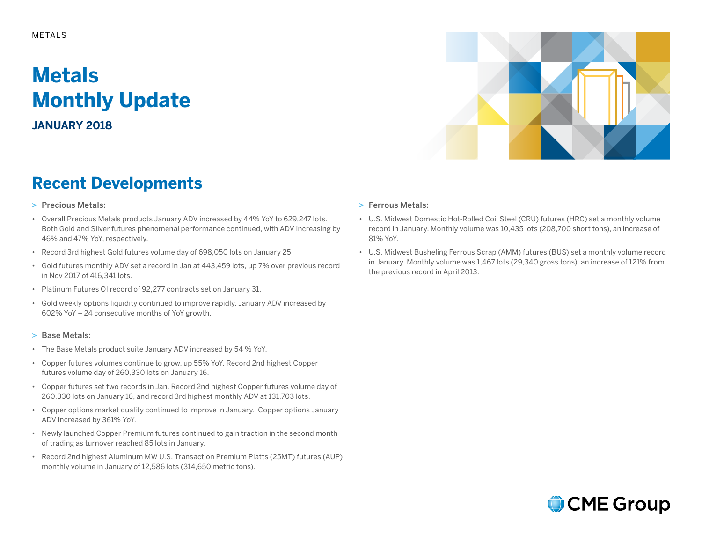# **Metals Monthly Update**

**JANUARY 2018**

## **Recent Developments**

- > Precious Metals:
- Overall Precious Metals products January ADV increased by 44% YoY to 629,247 lots. Both Gold and Silver futures phenomenal performance continued, with ADV increasing by 46% and 47% YoY, respectively.
- Record 3rd highest Gold futures volume day of 698,050 lots on January 25.
- Gold futures monthly ADV set a record in Jan at 443,459 lots, up 7% over previous record in Nov 2017 of 416,341 lots.
- Platinum Futures OI record of 92,277 contracts set on January 31.
- Gold weekly options liquidity continued to improve rapidly. January ADV increased by 602% YoY – 24 consecutive months of YoY growth.
- > Base Metals:
- The Base Metals product suite January ADV increased by 54 % YoY.
- Copper futures volumes continue to grow, up 55% YoY. Record 2nd highest Copper futures volume day of 260,330 lots on January 16.
- Copper futures set two records in Jan. Record 2nd highest Copper futures volume day of 260,330 lots on January 16, and record 3rd highest monthly ADV at 131,703 lots.
- Copper options market quality continued to improve in January. Copper options January ADV increased by 361% YoY.
- Newly launched Copper Premium futures continued to gain traction in the second month of trading as turnover reached 85 lots in January.
- Record 2nd highest Aluminum MW U.S. Transaction Premium Platts (25MT) futures (AUP) monthly volume in January of 12,586 lots (314,650 metric tons).

### > Ferrous Metals:

- U.S. Midwest Domestic Hot-Rolled Coil Steel (CRU) futures (HRC) set a monthly volume record in January. Monthly volume was 10,435 lots (208,700 short tons), an increase of 81% YoY.
- U.S. Midwest Busheling Ferrous Scrap (AMM) futures (BUS) set a monthly volume record in January. Monthly volume was 1,467 lots (29,340 gross tons), an increase of 121% from the previous record in April 2013.



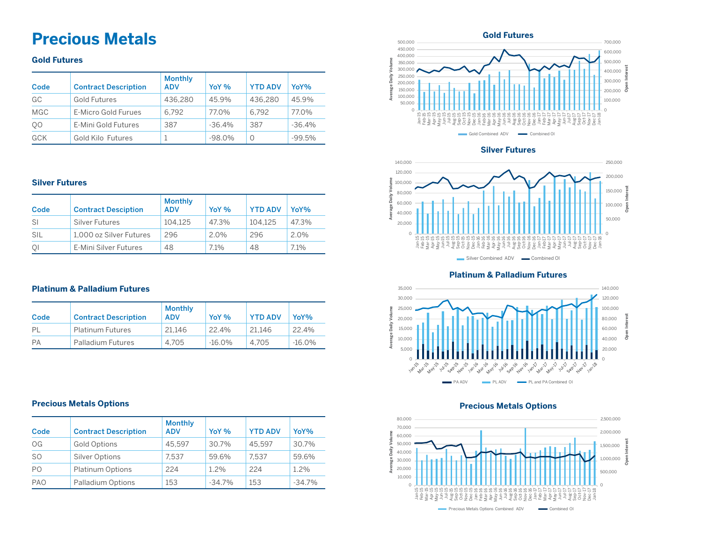## **Precious Metals Constants Constants Constants Constants and Constants and Constants and Constants and Constants and Constants and Constants and Constants and Constants and Constants and Constants and Constants and**

### **Gold Futures**

| Code           | <b>Contract Description</b> | <b>Monthly</b><br><b>ADV</b> | YoY <sub>%</sub> | <b>YTD ADV</b> | YoY%     |
|----------------|-----------------------------|------------------------------|------------------|----------------|----------|
| GC             | Gold Futures                | 436.280                      | 45.9%            | 436.280        | 45.9%    |
| <b>MGC</b>     | E-Micro Gold Furues         | 6.792                        | 77.0%            | 6.792          | 77.0%    |
| Q <sub>0</sub> | E-Mini Gold Futures         | 387                          | $-36.4%$         | 387            | $-36.4%$ |
| <b>GCK</b>     | Gold Kilo Futures           |                              | $-98.0%$         | O              | $-99.5%$ |

### **Silver Futures**

| Code | <b>Contract Desciption</b> | <b>Monthly</b><br><b>ADV</b> | YoY %   | <b>YTD ADV</b> | YoY%    |
|------|----------------------------|------------------------------|---------|----------------|---------|
| -SI  | Silver Futures             | 104.125                      | 47.3%   | 104.125        | 47.3%   |
| SIL  | 1.000 oz Silver Futures    | 296                          | $2.0\%$ | 296            | $2.0\%$ |
| QI   | E-Mini Silver Futures      | 48                           | $7.1\%$ | 48             | 7.1%    |

### **Platinum & Palladium Futures**

| Code | <b>Contract Description</b> | <b>Monthly</b><br><b>ADV</b> | YoY %     | <b>YTD ADV</b> | YoY%      |
|------|-----------------------------|------------------------------|-----------|----------------|-----------|
| PI   | <b>Platinum Futures</b>     | 21.146                       | 22.4%     | 21.146         | 22.4%     |
| PA   | Palladium Futures           | 4.705                        | $-16.0\%$ | 4.705          | $-16.0\%$ |

### 500,000 700,000 450,000 600,000 400,000 **Average Daily Volume** 500,000 350,000 300,000 **Open Interest** ξ 400,000 age Daily 250,000 300,000 200,000 150,000  $200,000$   $\frac{8}{9}$ g 100,000 100,000 50,000  $\Omega$  $\sim$ Jan-15 Feb-15 Mar-15 Apr-15 May-15 Jun-15 Jul-15 Aug-15 Sep-15 Oct-15 Nov-15 Dec-15 Jan-16 Feb-16 Mar-16 Apr-16 May-16 Jun-16 Jul-16 Aug-16 Sep-16 Oct-16 Dec-16 Jan-17 Feb-17 Apr-17 May-17 Jun-17 Jul-17 Aug-17 Sep-17 Oct-17 Nov-17 Dec-17 Jan-18  $\delta$ Mar-17 Gold Combined ADV **Combined OI**

### **Silver Futures**



### **Platinum & Palladium Futures**





### **Precious Metals Options Precious Metals Options**

| Code           | <b>Contract Description</b> | <b>Monthly</b><br><b>ADV</b> | YoY %    | <b>YTD ADV</b> | YoY%     |
|----------------|-----------------------------|------------------------------|----------|----------------|----------|
| OG             | <b>Gold Options</b>         | 45.597                       | 30.7%    | 45.597         | 30.7%    |
| SO.            | <b>Silver Options</b>       | 7.537                        | 59.6%    | 7.537          | 59.6%    |
| P <sub>0</sub> | <b>Platinum Options</b>     | 224                          | 1.2%     | 224            | 1.2%     |
| <b>PAO</b>     | Palladium Options           | 153                          | $-34.7%$ | 153            | $-34.7%$ |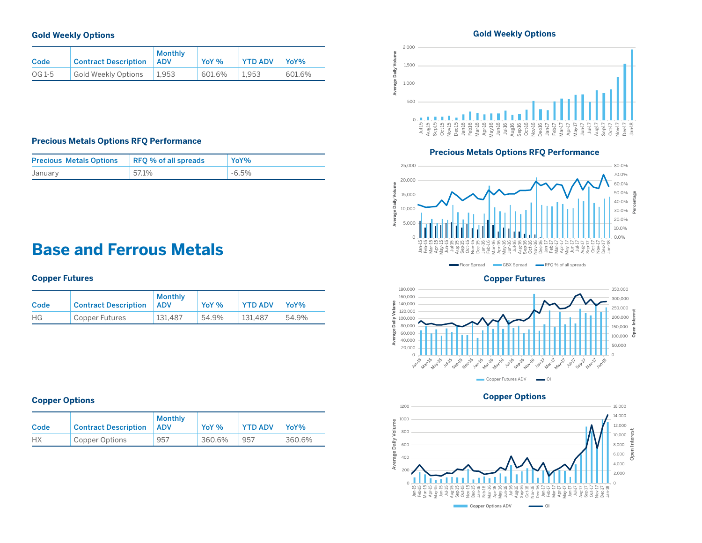### **Gold Weekly Options**

| Code   | <b>Contract Description</b> | <b>Monthly</b><br><b>ADV</b> | YoY %     | <b>YTD ADV</b> | YoY%   |
|--------|-----------------------------|------------------------------|-----------|----------------|--------|
| OG 1-5 | Gold Weekly Options         | 1.953                        | $601.6\%$ | 1.953          | 601.6% |

### **Precious Metals Options RFQ Performance**

| <b>Precious Metals Options</b> | RFQ % of all spreads | YoY%     |
|--------------------------------|----------------------|----------|
| January                        | 57.1%                | $-6.5\%$ |

## **Base and Ferrous Metals**

### **Copper Futures**

| Code | <b>Contract Description</b> | Monthly<br><b>ADV</b> | YoY % | <b>YTD ADV</b> | YoY <sub>%</sub> |
|------|-----------------------------|-----------------------|-------|----------------|------------------|
| НG   | Copper Futures              | 131.487               | 54.9% | 131.487        | 54.9%            |

### **Copper Options**

| Code      | <b>Contract Description</b> | <b>Monthly</b><br><b>ADV</b> | YoY %  | <b>YTD ADV</b> | YoY <sub>%</sub> |
|-----------|-----------------------------|------------------------------|--------|----------------|------------------|
| <b>HX</b> | Copper Options              | 957                          | 360.6% | 957            | 360.6%           |

### **Gold Weekly Options**



### **Precious Metals Options RFQ Performance**



**Copper Futures**



### **Copper Options**